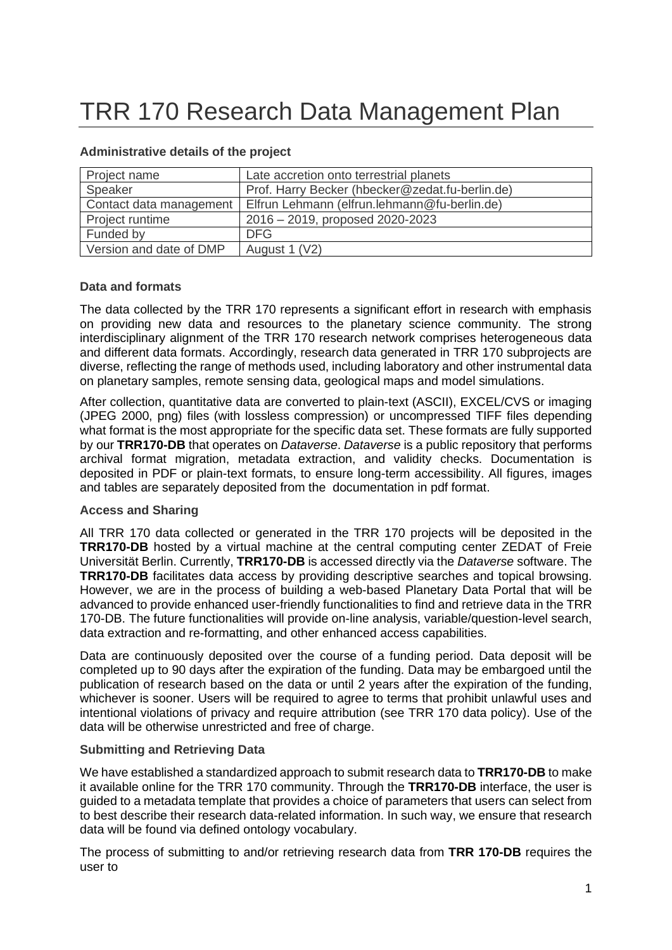# TRR 170 Research Data Management Plan

| Project name            | Late accretion onto terrestrial planets         |
|-------------------------|-------------------------------------------------|
| Speaker                 | Prof. Harry Becker (hbecker@zedat.fu-berlin.de) |
| Contact data management | Elfrun Lehmann (elfrun.lehmann@fu-berlin.de)    |
| Project runtime         | 2016 - 2019, proposed 2020-2023                 |
| Funded by               | <b>DFG</b>                                      |
| Version and date of DMP | August 1 (V2)                                   |

## **Administrative details of the project**

#### **Data and formats**

The data collected by the TRR 170 represents a significant effort in research with emphasis on providing new data and resources to the planetary science community. The strong interdisciplinary alignment of the TRR 170 research network comprises heterogeneous data and different data formats. Accordingly, research data generated in TRR 170 subprojects are diverse, reflecting the range of methods used, including laboratory and other instrumental data on planetary samples, remote sensing data, geological maps and model simulations.

After collection, quantitative data are converted to plain-text (ASCII), EXCEL/CVS or imaging (JPEG 2000, png) files (with lossless compression) or uncompressed TIFF files depending what format is the most appropriate for the specific data set. These formats are fully supported by our **TRR170-DB** that operates on *Dataverse*. *Dataverse* is a public repository that performs archival format migration, metadata extraction, and validity checks. Documentation is deposited in PDF or plain-text formats, to ensure long-term accessibility. All figures, images and tables are separately deposited from the documentation in pdf format.

# **Access and Sharing**

All TRR 170 data collected or generated in the TRR 170 projects will be deposited in the **TRR170-DB** hosted by a virtual machine at the central computing center ZEDAT of Freie Universität Berlin. Currently, **TRR170-DB** is accessed directly via the *Dataverse* software. The **TRR170-DB** facilitates data access by providing descriptive searches and topical browsing. However, we are in the process of building a web-based Planetary Data Portal that will be advanced to provide enhanced user-friendly functionalities to find and retrieve data in the TRR 170-DB. The future functionalities will provide on-line analysis, variable/question-level search, data extraction and re-formatting, and other enhanced access capabilities.

Data are continuously deposited over the course of a funding period. Data deposit will be completed up to 90 days after the expiration of the funding. Data may be embargoed until the publication of research based on the data or until 2 years after the expiration of the funding, whichever is sooner. Users will be required to agree to terms that prohibit unlawful uses and intentional violations of privacy and require attribution (see TRR 170 data policy). Use of the data will be otherwise unrestricted and free of charge.

# **Submitting and Retrieving Data**

We have established a standardized approach to submit research data to **TRR170-DB** to make it available online for the TRR 170 community. Through the **TRR170-DB** interface, the user is guided to a metadata template that provides a choice of parameters that users can select from to best describe their research data-related information. In such way, we ensure that research data will be found via defined ontology vocabulary.

The process of submitting to and/or retrieving research data from **TRR 170-DB** requires the user to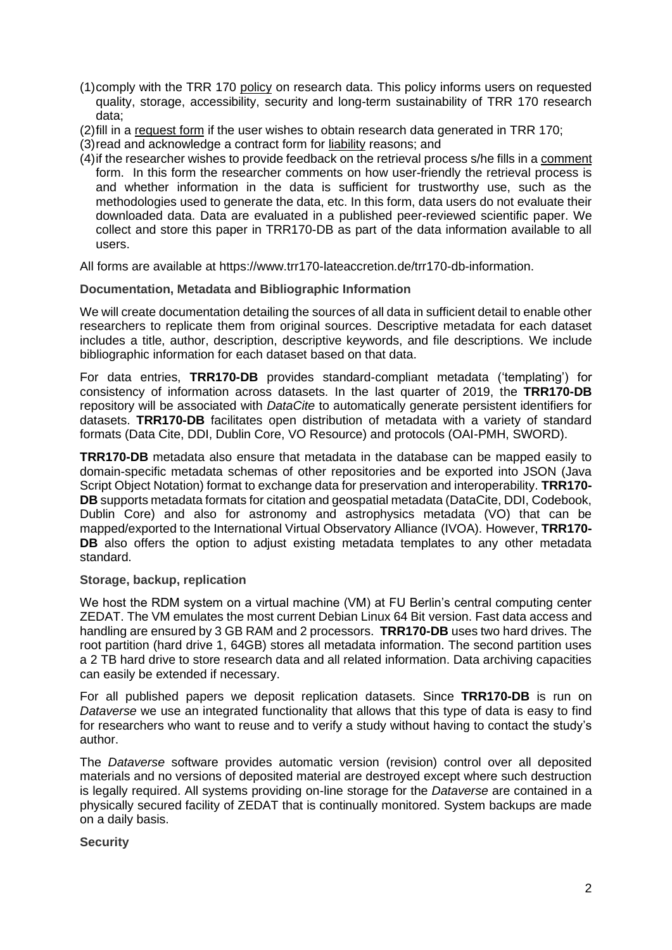- (1)comply with the TRR 170 policy on research data. This policy informs users on requested quality, storage, accessibility, security and long-term sustainability of TRR 170 research data;
- (2)fill in a request form if the user wishes to obtain research data generated in TRR 170;
- (3)read and acknowledge a contract form for liability reasons; and
- (4)if the researcher wishes to provide feedback on the retrieval process s/he fills in a comment form. In this form the researcher comments on how user-friendly the retrieval process is and whether information in the data is sufficient for trustworthy use, such as the methodologies used to generate the data, etc. In this form, data users do not evaluate their downloaded data. Data are evaluated in a published peer-reviewed scientific paper. We collect and store this paper in TRR170-DB as part of the data information available to all users.

All forms are available at https://www.trr170-lateaccretion.de/trr170-db-information.

### **Documentation, Metadata and Bibliographic Information**

We will create documentation detailing the sources of all data in sufficient detail to enable other researchers to replicate them from original sources. Descriptive metadata for each dataset includes a title, author, description, descriptive keywords, and file descriptions. We include bibliographic information for each dataset based on that data.

For data entries, **TRR170-DB** provides standard-compliant metadata ('templating') for consistency of information across datasets. In the last quarter of 2019, the **TRR170-DB** repository will be associated with *DataCite* to automatically generate persistent identifiers for datasets. **TRR170-DB** facilitates open distribution of metadata with a variety of standard formats (Data Cite, DDI, Dublin Core, VO Resource) and protocols (OAI-PMH, SWORD).

**TRR170-DB** metadata also ensure that metadata in the database can be mapped easily to domain-specific metadata schemas of other repositories and be exported into JSON (Java Script Object Notation) format to exchange data for preservation and interoperability. **TRR170- DB** supports metadata formats for citation and geospatial metadata (DataCite, DDI, Codebook, Dublin Core) and also for astronomy and astrophysics metadata (VO) that can be mapped/exported to the International Virtual Observatory Alliance (IVOA). However, **TRR170- DB** also offers the option to adjust existing metadata templates to any other metadata standard.

# **Storage, backup, replication**

We host the RDM system on a virtual machine (VM) at FU Berlin's central computing center ZEDAT. The VM emulates the most current Debian Linux 64 Bit version. Fast data access and handling are ensured by 3 GB RAM and 2 processors. **TRR170-DB** uses two hard drives. The root partition (hard drive 1, 64GB) stores all metadata information. The second partition uses a 2 TB hard drive to store research data and all related information. Data archiving capacities can easily be extended if necessary.

For all published papers we deposit replication datasets. Since **TRR170-DB** is run on *Dataverse* we use an integrated functionality that allows that this type of data is easy to find for researchers who want to reuse and to verify a study without having to contact the study's author.

The *Dataverse* software provides automatic version (revision) control over all deposited materials and no versions of deposited material are destroyed except where such destruction is legally required. All systems providing on-line storage for the *Dataverse* are contained in a physically secured facility of ZEDAT that is continually monitored. System backups are made on a daily basis.

#### **Security**